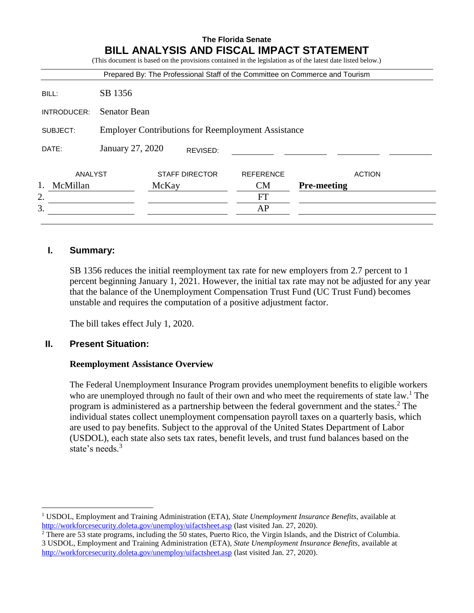|             |                                                           |       |                       |                  | Prepared By: The Professional Staff of the Committee on Commerce and Tourism |
|-------------|-----------------------------------------------------------|-------|-----------------------|------------------|------------------------------------------------------------------------------|
| BILL:       | SB 1356                                                   |       |                       |                  |                                                                              |
| INTRODUCER: | <b>Senator Bean</b>                                       |       |                       |                  |                                                                              |
| SUBJECT:    | <b>Employer Contributions for Reemployment Assistance</b> |       |                       |                  |                                                                              |
| DATE:       | January 27, 2020                                          |       | REVISED:              |                  |                                                                              |
| ANALYST     |                                                           |       | <b>STAFF DIRECTOR</b> | <b>REFERENCE</b> | <b>ACTION</b>                                                                |
| McMillan    |                                                           | McKay |                       | <b>CM</b>        | <b>Pre-meeting</b>                                                           |
| 2.          |                                                           |       |                       | <b>FT</b>        |                                                                              |
| 3.          |                                                           |       |                       | AP               |                                                                              |

# **I. Summary:**

SB 1356 reduces the initial reemployment tax rate for new employers from 2.7 percent to 1 percent beginning January 1, 2021. However, the initial tax rate may not be adjusted for any year that the balance of the Unemployment Compensation Trust Fund (UC Trust Fund) becomes unstable and requires the computation of a positive adjustment factor.

The bill takes effect July 1, 2020.

## **II. Present Situation:**

 $\overline{a}$ 

## **Reemployment Assistance Overview**

The Federal Unemployment Insurance Program provides unemployment benefits to eligible workers who are unemployed through no fault of their own and who meet the requirements of state law.<sup>1</sup> The program is administered as a partnership between the federal government and the states.<sup>2</sup> The individual states collect unemployment compensation payroll taxes on a quarterly basis, which are used to pay benefits. Subject to the approval of the United States Department of Labor (USDOL), each state also sets tax rates, benefit levels, and trust fund balances based on the state's needs.<sup>3</sup>

<sup>1</sup> USDOL, Employment and Training Administration (ETA), *State Unemployment Insurance Benefits*, available at <http://workforcesecurity.doleta.gov/unemploy/uifactsheet.asp> (last visited Jan. 27, 2020).

<sup>2</sup> There are 53 state programs, including the 50 states, Puerto Rico, the Virgin Islands, and the District of Columbia. 3 USDOL, Employment and Training Administration (ETA)*, State Unemployment Insurance Benefits,* available at <http://workforcesecurity.doleta.gov/unemploy/uifactsheet.asp> [\(](http://workforcesecurity.doleta.gov/unemploy/uifactsheet.asp)last visited Jan. 27, 2020).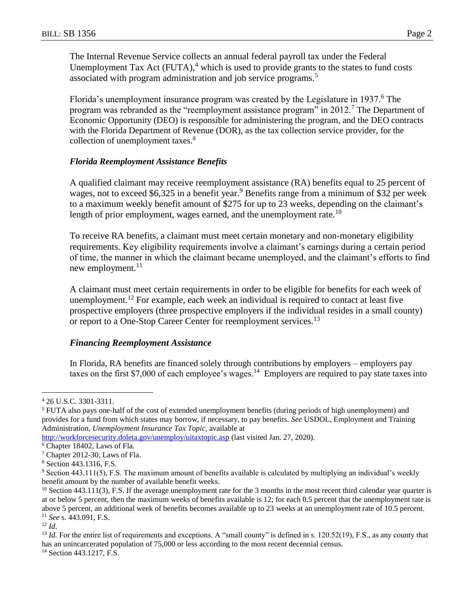The Internal Revenue Service collects an annual federal payroll tax under the Federal Unemployment Tax Act  $(FUTA)$ ,<sup>4</sup> which is used to provide grants to the states to fund costs associated with program administration and job service programs.<sup>5</sup>

Florida's unemployment insurance program was created by the Legislature in  $1937$ .<sup>6</sup> The program was rebranded as the "reemployment assistance program" in 2012.<sup>7</sup> The Department of Economic Opportunity (DEO) is responsible for administering the program, and the DEO contracts with the Florida Department of Revenue (DOR), as the tax collection service provider, for the collection of unemployment taxes.<sup>8</sup>

### *Florida Reemployment Assistance Benefits*

A qualified claimant may receive reemployment assistance (RA) benefits equal to 25 percent of wages, not to exceed \$6,325 in a benefit year.<sup>9</sup> Benefits range from a minimum of \$32 per week to a maximum weekly benefit amount of \$275 for up to 23 weeks, depending on the claimant's length of prior employment, wages earned, and the unemployment rate.<sup>10</sup>

To receive RA benefits, a claimant must meet certain monetary and non-monetary eligibility requirements. Key eligibility requirements involve a claimant's earnings during a certain period of time, the manner in which the claimant became unemployed, and the claimant's efforts to find new employment. $11$ 

A claimant must meet certain requirements in order to be eligible for benefits for each week of unemployment.<sup>12</sup> For example, each week an individual is required to contact at least five prospective employers (three prospective employers if the individual resides in a small county) or report to a One-Stop Career Center for reemployment services.<sup>13</sup>

## *Financing Reemployment Assistance*

In Florida, RA benefits are financed solely through contributions by employers – employers pay taxes on the first \$7,000 of each employee's wages.<sup>14</sup> Employers are required to pay state taxes into

 $12 \, Id.$ 

 $\overline{a}$ 

<sup>13</sup> *Id.* For the entire list of requirements and exceptions. A "small county" is defined in s. 120.52(19), F.S., as any county that has an unincarcerated population of 75,000 or less according to the most recent decennial census.

<sup>14</sup> Section 443.1217, F.S.

<sup>4</sup> 26 U.S.C. 3301-3311.

<sup>5</sup> FUTA also pays one-half of the cost of extended unemployment benefits (during periods of high unemployment) and provides for a fund from which states may borrow, if necessary, to pay benefits. *See* USDOL, Employment and Training Administration*, Unemployment Insurance Tax Topic,* available at

<http://workforcesecurity.doleta.gov/unemploy/uitaxtopic.asp> (last visited Jan. 27, 2020).

<sup>6</sup> Chapter 18402, Laws of Fla.

<sup>7</sup> Chapter 2012-30, Laws of Fla.

<sup>8</sup> Section 443.1316, F.S.

<sup>9</sup> Section 443.111(5), F.S. The maximum amount of benefits available is calculated by multiplying an individual's weekly benefit amount by the number of available benefit weeks.

 $10$  Section 443.111(3), F.S. If the average unemployment rate for the 3 months in the most recent third calendar year quarter is at or below 5 percent, then the maximum weeks of benefits available is 12; for each 0.5 percent that the unemployment rate is above 5 percent, an additional week of benefits becomes available up to 23 weeks at an unemployment rate of 10.5 percent. <sup>11</sup> *See* s. 443.091, F.S.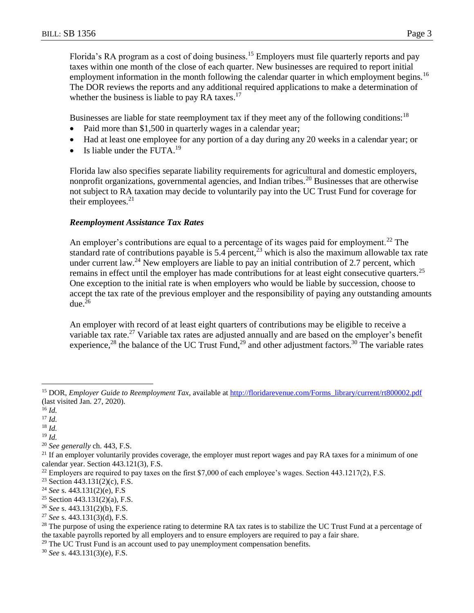Florida's RA program as a cost of doing business.<sup>15</sup> Employers must file quarterly reports and pay taxes within one month of the close of each quarter. New businesses are required to report initial employment information in the month following the calendar quarter in which employment begins.<sup>16</sup> The DOR reviews the reports and any additional required applications to make a determination of whether the business is liable to pay RA taxes. $17$ 

Businesses are liable for state reemployment tax if they meet any of the following conditions:<sup>18</sup>

- Paid more than \$1,500 in quarterly wages in a calendar year;
- Had at least one employee for any portion of a day during any 20 weeks in a calendar year; or
- $\bullet$  Is liable under the FUTA.<sup>19</sup>

Florida law also specifies separate liability requirements for agricultural and domestic employers, nonprofit organizations, governmental agencies, and Indian tribes.<sup>20</sup> Businesses that are otherwise not subject to RA taxation may decide to voluntarily pay into the UC Trust Fund for coverage for their employees. $21$ 

#### *Reemployment Assistance Tax Rates*

An employer's contributions are equal to a percentage of its wages paid for employment.<sup>22</sup> The standard rate of contributions payable is 5.4 percent,  $\frac{3}{2}$  which is also the maximum allowable tax rate under current law.<sup>24</sup> New employers are liable to pay an initial contribution of 2.7 percent, which remains in effect until the employer has made contributions for at least eight consecutive quarters.<sup>25</sup> One exception to the initial rate is when employers who would be liable by succession, choose to accept the tax rate of the previous employer and the responsibility of paying any outstanding amounts due. $26$ 

An employer with record of at least eight quarters of contributions may be eligible to receive a variable tax rate.<sup>27</sup> Variable tax rates are adjusted annually and are based on the employer's benefit experience,<sup>28</sup> the balance of the UC Trust Fund,<sup>29</sup> and other adjustment factors.<sup>30</sup> The variable rates

 $\overline{a}$ 

<sup>19</sup> *Id.*

<sup>30</sup> *See* s. 443.131(3)(e), F.S.

<sup>&</sup>lt;sup>15</sup> DOR, *Employer Guide to Reemployment Tax*, available at http://floridarevenue.com/Forms\_library/current/rt800002.pdf (last visited Jan. 27, 2020).

<sup>16</sup> *Id.*

<sup>17</sup> *Id.*

<sup>18</sup> *Id.*

<sup>20</sup> *See generally* ch. 443, F.S.

 $21$  If an employer voluntarily provides coverage, the employer must report wages and pay RA taxes for a minimum of one calendar year. Section 443.121(3), F.S.

 $22$  Employers are required to pay taxes on the first \$7,000 of each employee's wages. Section 443.1217(2), F.S.

<sup>&</sup>lt;sup>23</sup> Section 443.131(2)(c), F.S.

<sup>24</sup> *See* s. 443.131(2)(e), F.S

<sup>&</sup>lt;sup>25</sup> Section 443.131(2)(a), F.S.

<sup>26</sup> *See* s. 443.131(2)(b), F.S.

<sup>27</sup> *See* s. 443.131(3)(d), F.S.

<sup>&</sup>lt;sup>28</sup> The purpose of using the experience rating to determine RA tax rates is to stabilize the UC Trust Fund at a percentage of the taxable payrolls reported by all employers and to ensure employers are required to pay a fair share.

 $29$  The UC Trust Fund is an account used to pay unemployment compensation benefits.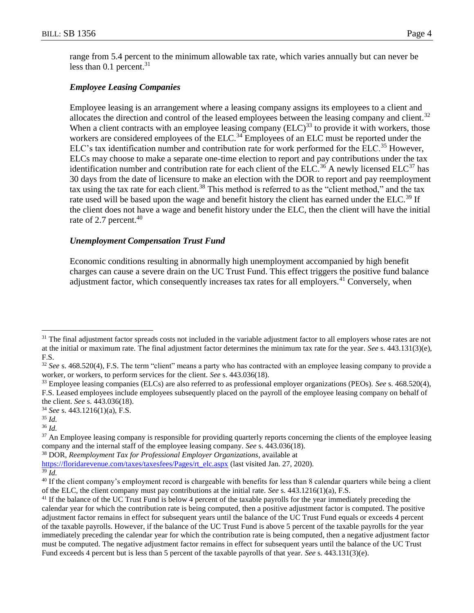range from 5.4 percent to the minimum allowable tax rate, which varies annually but can never be less than  $0.1$  percent.<sup>31</sup>

# *Employee Leasing Companies*

Employee leasing is an arrangement where a leasing company assigns its employees to a client and allocates the direction and control of the leased employees between the leasing company and client.<sup>32</sup> When a client contracts with an employee leasing company  $(ELC)^{33}$  to provide it with workers, those workers are considered employees of the ELC.<sup>34</sup> Employees of an ELC must be reported under the ELC's tax identification number and contribution rate for work performed for the ELC.<sup>35</sup> However, ELCs may choose to make a separate one-time election to report and pay contributions under the tax identification number and contribution rate for each client of the ELC.<sup>36</sup> A newly licensed ELC<sup>37</sup> has 30 days from the date of licensure to make an election with the DOR to report and pay reemployment tax using the tax rate for each client.<sup>38</sup> This method is referred to as the "client method," and the tax rate used will be based upon the wage and benefit history the client has earned under the ELC.<sup>39</sup> If the client does not have a wage and benefit history under the ELC, then the client will have the initial rate of 2.7 percent.<sup>40</sup>

# *Unemployment Compensation Trust Fund*

Economic conditions resulting in abnormally high unemployment accompanied by high benefit charges can cause a severe drain on the UC Trust Fund. This effect triggers the positive fund balance adjustment factor, which consequently increases tax rates for all employers.<sup>41</sup> Conversely, when

 $\overline{a}$ 

<sup>38</sup> DOR, *Reemployment Tax for Professional Employer Organizations*, available at

<sup>&</sup>lt;sup>31</sup> The final adjustment factor spreads costs not included in the variable adjustment factor to all employers whose rates are not at the initial or maximum rate. The final adjustment factor determines the minimum tax rate for the year. *See* s. 443.131(3)(e), F.S.

<sup>32</sup> *See* s. 468.520(4), F.S. The term "client" means a party who has contracted with an employee leasing company to provide a worker, or workers, to perform services for the client. *See* s. 443.036(18).

<sup>33</sup> Employee leasing companies (ELCs) are also referred to as professional employer organizations (PEOs). *See* s. 468.520(4), F.S. Leased employees include employees subsequently placed on the payroll of the employee leasing company on behalf of the client. *See* s. 443.036(18).

<sup>34</sup> *See* s. 443.1216(1)(a), F.S.

<sup>35</sup> *Id.*

<sup>36</sup> *Id.*

<sup>&</sup>lt;sup>37</sup> An Employee leasing company is responsible for providing quarterly reports concerning the clients of the employee leasing company and the internal staff of the employee leasing company. *See* s. 443.036(18).

[https://floridarevenue.com/taxes/taxesfees/Pages/rt\\_elc.aspx](https://floridarevenue.com/taxes/taxesfees/Pages/rt_elc.aspx) (last visited Jan. 27, 2020).

<sup>39</sup> *Id.*

<sup>&</sup>lt;sup>40</sup> If the client company's employment record is chargeable with benefits for less than 8 calendar quarters while being a client of the ELC, the client company must pay contributions at the initial rate. *See* s. 443.1216(1)(a), F.S.

<sup>&</sup>lt;sup>41</sup> If the balance of the UC Trust Fund is below 4 percent of the taxable payrolls for the year immediately preceding the calendar year for which the contribution rate is being computed, then a positive adjustment factor is computed. The positive adjustment factor remains in effect for subsequent years until the balance of the UC Trust Fund equals or exceeds 4 percent of the taxable payrolls. However, if the balance of the UC Trust Fund is above 5 percent of the taxable payrolls for the year immediately preceding the calendar year for which the contribution rate is being computed, then a negative adjustment factor must be computed. The negative adjustment factor remains in effect for subsequent years until the balance of the UC Trust Fund exceeds 4 percent but is less than 5 percent of the taxable payrolls of that year. *See* s. 443.131(3)(e).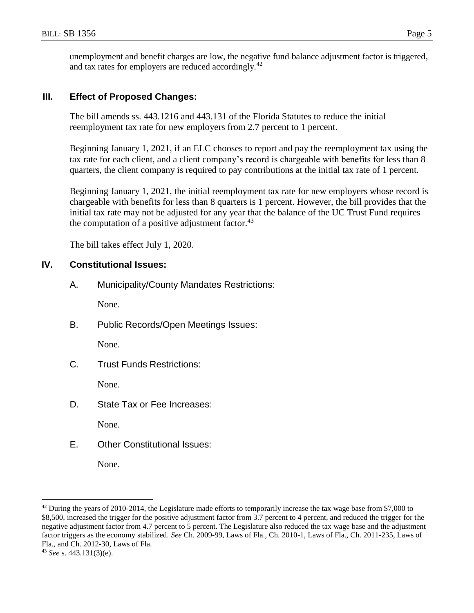unemployment and benefit charges are low, the negative fund balance adjustment factor is triggered, and tax rates for employers are reduced accordingly.<sup>42</sup>

# **III. Effect of Proposed Changes:**

The bill amends ss. 443.1216 and 443.131 of the Florida Statutes to reduce the initial reemployment tax rate for new employers from 2.7 percent to 1 percent.

Beginning January 1, 2021, if an ELC chooses to report and pay the reemployment tax using the tax rate for each client, and a client company's record is chargeable with benefits for less than 8 quarters, the client company is required to pay contributions at the initial tax rate of 1 percent.

Beginning January 1, 2021, the initial reemployment tax rate for new employers whose record is chargeable with benefits for less than 8 quarters is 1 percent. However, the bill provides that the initial tax rate may not be adjusted for any year that the balance of the UC Trust Fund requires the computation of a positive adjustment factor. $43$ 

The bill takes effect July 1, 2020.

# **IV. Constitutional Issues:**

A. Municipality/County Mandates Restrictions:

None.

B. Public Records/Open Meetings Issues:

None.

C. Trust Funds Restrictions:

None.

D. State Tax or Fee Increases:

None.

E. Other Constitutional Issues:

None.

 $\overline{a}$ 

 $42$  During the years of 2010-2014, the Legislature made efforts to temporarily increase the tax wage base from \$7,000 to \$8,500, increased the trigger for the positive adjustment factor from 3.7 percent to 4 percent, and reduced the trigger for the negative adjustment factor from 4.7 percent to 5 percent. The Legislature also reduced the tax wage base and the adjustment factor triggers as the economy stabilized. *See* Ch. 2009-99, Laws of Fla., Ch. 2010-1, Laws of Fla., Ch. 2011-235, Laws of Fla., and Ch. 2012-30, Laws of Fla.

<sup>43</sup> *See* s. 443.131(3)(e).